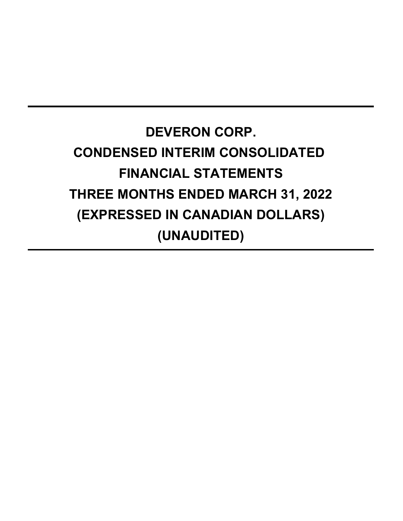# **DEVERON CORP. CONDENSED INTERIM CONSOLIDATED FINANCIAL STATEMENTS THREE MONTHS ENDED MARCH 31, 2022 (EXPRESSED IN CANADIAN DOLLARS) (UNAUDITED)**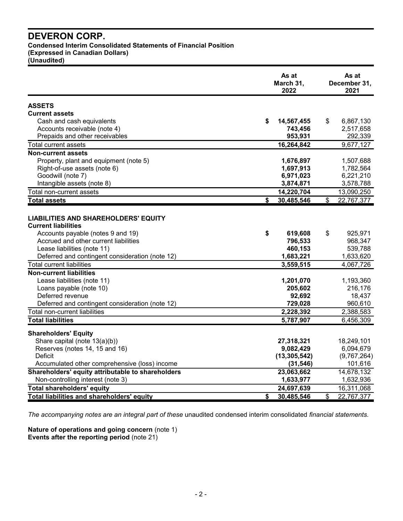**Condensed Interim Consolidated Statements of Financial Position**

**(Expressed in Canadian Dollars)**

**(Unaudited)**

|                                                                                                                                                                                                                                                                                                                                                                                                                                                                                   | As at<br>March 31,<br>2022                                                                                              |                |                                                                                                                   |
|-----------------------------------------------------------------------------------------------------------------------------------------------------------------------------------------------------------------------------------------------------------------------------------------------------------------------------------------------------------------------------------------------------------------------------------------------------------------------------------|-------------------------------------------------------------------------------------------------------------------------|----------------|-------------------------------------------------------------------------------------------------------------------|
| <b>ASSETS</b>                                                                                                                                                                                                                                                                                                                                                                                                                                                                     |                                                                                                                         |                |                                                                                                                   |
| <b>Current assets</b>                                                                                                                                                                                                                                                                                                                                                                                                                                                             |                                                                                                                         |                |                                                                                                                   |
| Cash and cash equivalents                                                                                                                                                                                                                                                                                                                                                                                                                                                         | \$<br>14,567,455                                                                                                        | \$             | 6,867,130                                                                                                         |
| Accounts receivable (note 4)                                                                                                                                                                                                                                                                                                                                                                                                                                                      | 743,456                                                                                                                 |                | 2,517,658                                                                                                         |
| Prepaids and other receivables                                                                                                                                                                                                                                                                                                                                                                                                                                                    | 953,931                                                                                                                 |                | 292,339                                                                                                           |
| <b>Total current assets</b>                                                                                                                                                                                                                                                                                                                                                                                                                                                       | 16,264,842                                                                                                              |                | 9,677,127                                                                                                         |
| <b>Non-current assets</b>                                                                                                                                                                                                                                                                                                                                                                                                                                                         |                                                                                                                         |                |                                                                                                                   |
| Property, plant and equipment (note 5)                                                                                                                                                                                                                                                                                                                                                                                                                                            | 1,676,897                                                                                                               |                | 1,507,688                                                                                                         |
| Right-of-use assets (note 6)                                                                                                                                                                                                                                                                                                                                                                                                                                                      | 1,697,913                                                                                                               |                | 1,782,564                                                                                                         |
| Goodwill (note 7)                                                                                                                                                                                                                                                                                                                                                                                                                                                                 | 6,971,023                                                                                                               |                | 6,221,210                                                                                                         |
| Intangible assets (note 8)                                                                                                                                                                                                                                                                                                                                                                                                                                                        | 3,874,871                                                                                                               |                | 3,578,788                                                                                                         |
| Total non-current assets                                                                                                                                                                                                                                                                                                                                                                                                                                                          | 14,220,704                                                                                                              |                | 13,090,250                                                                                                        |
| <b>Total assets</b>                                                                                                                                                                                                                                                                                                                                                                                                                                                               | \$<br>30,485,546                                                                                                        | $\mathfrak{S}$ | 22,767,377                                                                                                        |
| <b>LIABILITIES AND SHAREHOLDERS' EQUITY</b><br><b>Current liabilities</b><br>Accounts payable (notes 9 and 19)<br>Accrued and other current liabilities<br>Lease liabilities (note 11)<br>Deferred and contingent consideration (note 12)<br><b>Total current liabilities</b><br><b>Non-current liabilities</b><br>Lease liabilities (note 11)<br>Loans payable (note 10)<br>Deferred revenue<br>Deferred and contingent consideration (note 12)<br>Total non-current liabilities | \$<br>619,608<br>796,533<br>460,153<br>1,683,221<br>3,559,515<br>1,201,070<br>205,602<br>92,692<br>729,028<br>2,228,392 | \$             | 925,971<br>968,347<br>539,788<br>1,633,620<br>4,067,726<br>1,193,360<br>216,176<br>18,437<br>960,610<br>2,388,583 |
| <b>Total liabilities</b>                                                                                                                                                                                                                                                                                                                                                                                                                                                          | 5,787,907                                                                                                               |                | 6,456,309                                                                                                         |
| <b>Shareholders' Equity</b><br>Share capital (note 13(a)(b))<br>Reserves (notes 14, 15 and 16)<br><b>Deficit</b>                                                                                                                                                                                                                                                                                                                                                                  | 27,318,321<br>9,082,429<br>(13, 305, 542)<br>(31, 546)                                                                  |                | 18,249,101<br>6,094,679<br>(9,767,264)<br>101,616                                                                 |
| Accumulated other comprehensive (loss) income                                                                                                                                                                                                                                                                                                                                                                                                                                     |                                                                                                                         |                |                                                                                                                   |
| Shareholders' equity attributable to shareholders<br>Non-controlling interest (note 3)                                                                                                                                                                                                                                                                                                                                                                                            | 23,063,662<br>1,633,977                                                                                                 |                | 14,678,132<br>1,632,936                                                                                           |
|                                                                                                                                                                                                                                                                                                                                                                                                                                                                                   |                                                                                                                         |                |                                                                                                                   |
| <b>Total shareholders' equity</b>                                                                                                                                                                                                                                                                                                                                                                                                                                                 | 24,697,639                                                                                                              |                | 16,311,068                                                                                                        |
| <b>Total liabilities and shareholders' equity</b>                                                                                                                                                                                                                                                                                                                                                                                                                                 | \$<br>30,485,546                                                                                                        | \$             | 22,767,377                                                                                                        |

*The accompanying notes are an integral part of these* unaudited condensed interim consolidated *financial statements.*

**Nature of operations and going concern** (note 1) **Events after the reporting period** (note 21)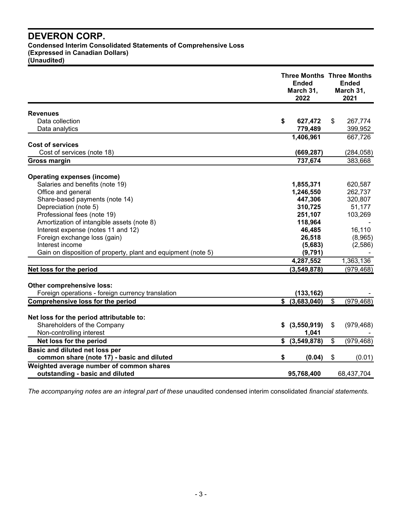**Condensed Interim Consolidated Statements of Comprehensive Loss**

**(Expressed in Canadian Dollars)**

**(Unaudited)**

|                                                               |    | <b>Three Months Three Months</b><br><b>Ended</b><br>March 31,<br>2022 |                           | <b>Ended</b><br>March 31,<br>2021 |
|---------------------------------------------------------------|----|-----------------------------------------------------------------------|---------------------------|-----------------------------------|
| <b>Revenues</b>                                               |    |                                                                       |                           |                                   |
| Data collection                                               | \$ | 627,472                                                               | $\boldsymbol{\mathsf{s}}$ | 267,774                           |
| Data analytics                                                |    | 779,489                                                               |                           | 399,952                           |
|                                                               |    | 1,406,961                                                             |                           | 667,726                           |
| <b>Cost of services</b>                                       |    |                                                                       |                           |                                   |
| Cost of services (note 18)                                    |    | (669, 287)                                                            |                           | (284, 058)                        |
| Gross margin                                                  |    | 737,674                                                               |                           | 383,668                           |
| <b>Operating expenses (income)</b>                            |    |                                                                       |                           |                                   |
| Salaries and benefits (note 19)                               |    | 1,855,371                                                             |                           | 620,587                           |
| Office and general                                            |    | 1,246,550                                                             |                           | 262,737                           |
| Share-based payments (note 14)                                |    | 447,306                                                               |                           | 320,807                           |
| Depreciation (note 5)                                         |    | 310,725                                                               |                           | 51,177                            |
| Professional fees (note 19)                                   |    | 251,107                                                               |                           | 103,269                           |
| Amortization of intangible assets (note 8)                    |    | 118,964                                                               |                           |                                   |
| Interest expense (notes 11 and 12)                            |    | 46,485                                                                |                           | 16,110                            |
| Foreign exchange loss (gain)                                  |    | 26,518                                                                |                           | (8,965)                           |
| Interest income                                               |    | (5,683)                                                               |                           | (2,586)                           |
| Gain on disposition of property, plant and equipment (note 5) |    | (9,791)                                                               |                           |                                   |
|                                                               |    | 4,287,552                                                             |                           | 1,363,136                         |
| Net loss for the period                                       |    | (3, 549, 878)                                                         |                           | (979, 468)                        |
| Other comprehensive loss:                                     |    |                                                                       |                           |                                   |
| Foreign operations - foreign currency translation             |    | (133, 162)                                                            |                           |                                   |
| <b>Comprehensive loss for the period</b>                      |    | \$ (3,683,040)                                                        | \$                        | (979, 468)                        |
| Net loss for the period attributable to:                      |    |                                                                       |                           |                                   |
| Shareholders of the Company                                   |    | \$(3,550,919)                                                         | \$                        | (979, 468)                        |
| Non-controlling interest                                      |    | 1,041                                                                 |                           |                                   |
| Net loss for the period                                       | S. | (3,549,878)                                                           | \$                        | (979, 468)                        |
| Basic and diluted net loss per                                |    |                                                                       |                           |                                   |
| common share (note 17) - basic and diluted                    | \$ | (0.04)                                                                | \$                        | (0.01)                            |
| Weighted average number of common shares                      |    |                                                                       |                           |                                   |
| outstanding - basic and diluted                               |    | 95,768,400                                                            |                           | 68,437,704                        |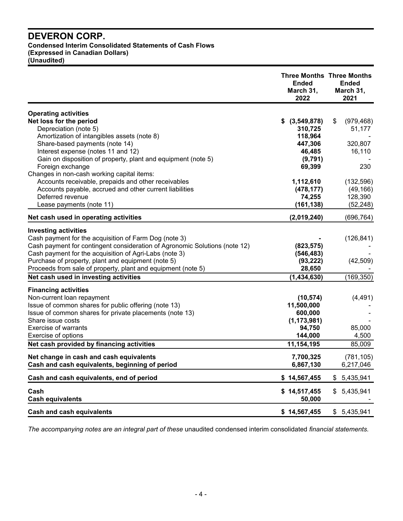**Condensed Interim Consolidated Statements of Cash Flows**

**(Expressed in Canadian Dollars)**

**(Unaudited)**

|                                                                                                                                                                                                                              | <b>Ended</b><br>March 31,<br>2022             | <b>Three Months Three Months</b><br><b>Ended</b><br>March 31,<br>2021 |
|------------------------------------------------------------------------------------------------------------------------------------------------------------------------------------------------------------------------------|-----------------------------------------------|-----------------------------------------------------------------------|
| <b>Operating activities</b><br>Net loss for the period<br>Depreciation (note 5)                                                                                                                                              | \$ (3,549,878)<br>310,725                     | \$<br>(979, 468)<br>51,177                                            |
| Amortization of intangibles assets (note 8)<br>Share-based payments (note 14)<br>Interest expense (notes 11 and 12)                                                                                                          | 118,964<br>447,306<br>46,485                  | 320,807<br>16,110                                                     |
| Gain on disposition of property, plant and equipment (note 5)<br>Foreign exchange<br>Changes in non-cash working capital items:                                                                                              | (9, 791)<br>69,399                            | 230                                                                   |
| Accounts receivable, prepaids and other receivables<br>Accounts payable, accrued and other current liabilities<br>Deferred revenue                                                                                           | 1,112,610<br>(478, 177)<br>74,255             | (132, 596)<br>(49, 166)<br>128,390                                    |
| Lease payments (note 11)                                                                                                                                                                                                     | (161, 138)                                    | (52, 248)                                                             |
| Net cash used in operating activities                                                                                                                                                                                        | (2,019,240)                                   | (696,764)                                                             |
| <b>Investing activities</b><br>Cash payment for the acquisition of Farm Dog (note 3)<br>Cash payment for contingent consideration of Agronomic Solutions (note 12)<br>Cash payment for the acquisition of Agri-Labs (note 3) | (823, 575)<br>(546, 483)                      | (126, 841)                                                            |
| Purchase of property, plant and equipment (note 5)<br>Proceeds from sale of property, plant and equipment (note 5)                                                                                                           | (93, 222)<br>28,650                           | (42, 509)                                                             |
| Net cash used in investing activities                                                                                                                                                                                        | (1,434,630)                                   | (169, 350)                                                            |
| <b>Financing activities</b><br>Non-current loan repayment<br>Issue of common shares for public offering (note 13)                                                                                                            | (10, 574)<br>11,500,000                       | (4, 491)                                                              |
| Issue of common shares for private placements (note 13)<br>Share issue costs<br><b>Exercise of warrants</b><br>Exercise of options                                                                                           | 600,000<br>(1, 173, 981)<br>94,750<br>144,000 | 85,000<br>4,500                                                       |
| Net cash provided by financing activities                                                                                                                                                                                    | 11,154,195                                    | 85,009                                                                |
| Net change in cash and cash equivalents<br>Cash and cash equivalents, beginning of period                                                                                                                                    | 7,700,325<br>6,867,130                        | (781, 105)<br>6,217,046                                               |
| Cash and cash equivalents, end of period                                                                                                                                                                                     | \$14,567,455                                  | \$5,435,941                                                           |
| Cash<br><b>Cash equivalents</b>                                                                                                                                                                                              | \$14,517,455<br>50,000                        | \$5,435,941                                                           |
| <b>Cash and cash equivalents</b>                                                                                                                                                                                             | \$14,567,455                                  | \$5,435,941                                                           |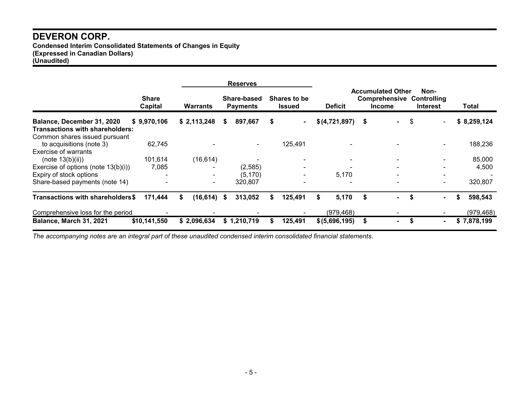# **DEVERON CORP. Condensed Interim Consolidated Statements of Changes in Equity (Expressed in Canadian Dollars) (Unaudited)**

|                                                                                                       |                                |                |   | <b>Reserves</b>                |   |                               |   |                          |           |                                                            |                                        |   |             |
|-------------------------------------------------------------------------------------------------------|--------------------------------|----------------|---|--------------------------------|---|-------------------------------|---|--------------------------|-----------|------------------------------------------------------------|----------------------------------------|---|-------------|
|                                                                                                       | <b>Share</b><br><b>Capital</b> | Warrants       |   | Share-based<br><b>Payments</b> |   | Shares to be<br><b>Issued</b> |   | <b>Deficit</b>           |           | <b>Accumulated Other</b><br>Comprehensive<br><b>Income</b> | Non-<br>Controlling<br><b>Interest</b> |   | Total       |
| Balance, December 31, 2020<br><b>Transactions with shareholders:</b><br>Common shares issued pursuant | \$9,970,106                    | \$2,113,248    | S | 897,667                        | S |                               |   | \$(4,721,897)            | $\sim$ \$ | ۰.                                                         | \$<br>$\blacksquare$                   |   | \$8,259,124 |
| to acquisitions (note 3)                                                                              | 62,745                         |                |   | $\blacksquare$                 |   | 125,491                       |   |                          |           |                                                            |                                        |   | 188,236     |
| Exercise of warrants<br>(note $13(b)(ii)$ )                                                           | 101,614                        | (16, 614)      |   |                                |   |                               |   |                          |           |                                                            |                                        |   | 85,000      |
| Exercise of options (note 13(b)(i))                                                                   | 7,085                          |                |   | (2,585)                        |   |                               |   |                          |           |                                                            |                                        |   | 4,500       |
| Expiry of stock options                                                                               |                                |                |   | (5, 170)                       |   |                               |   | 5,170                    |           |                                                            |                                        |   |             |
| Share-based payments (note 14)                                                                        |                                | $\sim$         |   | 320,807                        |   |                               |   | $\overline{\phantom{0}}$ |           |                                                            | $\overline{\phantom{a}}$               |   | 320,807     |
| Transactions with shareholders\$                                                                      | 171,444                        | (16, 614)<br>S | S | 313,052                        | S | 125,491                       | S | 5,170                    | \$        |                                                            | \$<br>$\blacksquare$                   | S | 598,543     |
| Comprehensive loss for the period                                                                     |                                |                |   |                                |   |                               |   | (979, 468)               |           |                                                            |                                        |   | (979, 468)  |
| Balance, March 31, 2021                                                                               | \$10,141,550                   | \$2,096,634    |   | \$1,210,719                    | S | 125,491                       |   | \$ (5,696,195)           | -S        | $\blacksquare$                                             | \$<br>$\blacksquare$                   |   | \$7,878,199 |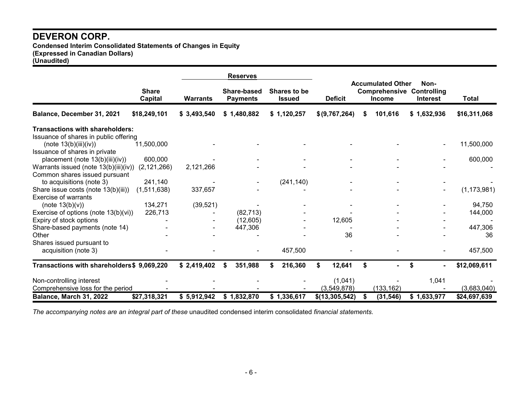**Condensed Interim Consolidated Statements of Changes in Equity (Expressed in Canadian Dollars)**

**(Unaudited)**

|                                            |                         |                 | <b>Reserves</b>                       |                                      |                  |    |                                           |                                                             |               |
|--------------------------------------------|-------------------------|-----------------|---------------------------------------|--------------------------------------|------------------|----|-------------------------------------------|-------------------------------------------------------------|---------------|
|                                            | <b>Share</b><br>Capital | <b>Warrants</b> | <b>Share-based</b><br><b>Payments</b> | <b>Shares to be</b><br><b>Issued</b> | <b>Deficit</b>   |    | <b>Accumulated Other</b><br><b>Income</b> | Non-<br><b>Comprehensive Controlling</b><br><b>Interest</b> | Total         |
| Balance, December 31, 2021                 | \$18,249,101            | \$3,493,540     | \$1,480,882                           | \$1,120,257                          | \$(9,767,264)    | S  | 101,616                                   | \$1,632,936                                                 | \$16,311,068  |
| Transactions with shareholders:            |                         |                 |                                       |                                      |                  |    |                                           |                                                             |               |
| Issuance of shares in public offering      |                         |                 |                                       |                                      |                  |    |                                           |                                                             |               |
| (note $13(b)(iii)(iv)$ )                   | 11,500,000              |                 |                                       |                                      |                  |    |                                           |                                                             | 11,500,000    |
| Issuance of shares in private              |                         |                 |                                       |                                      |                  |    |                                           |                                                             |               |
| placement (note 13(b)(iii)(iv))            | 600,000                 |                 |                                       |                                      |                  |    |                                           |                                                             | 600,000       |
| Warrants issued (note 13(b)(iii)(iv))      | (2, 121, 266)           | 2,121,266       |                                       |                                      |                  |    |                                           |                                                             |               |
| Common shares issued pursuant              |                         |                 |                                       |                                      |                  |    |                                           |                                                             |               |
| to acquisitions (note 3)                   | 241,140                 |                 |                                       | (241, 140)                           |                  |    |                                           |                                                             |               |
| Share issue costs (note 13(b)(iii))        | (1,511,638)             | 337,657         |                                       |                                      |                  |    |                                           |                                                             | (1, 173, 981) |
| <b>Exercise of warrants</b>                |                         |                 |                                       |                                      |                  |    |                                           |                                                             |               |
| (note $13(b)(v)$ )                         | 134,271                 | (39, 521)       |                                       |                                      |                  |    |                                           |                                                             | 94,750        |
| Exercise of options (note 13(b)(vi))       | 226,713                 |                 | (82, 713)                             |                                      |                  |    |                                           |                                                             | 144,000       |
| Expiry of stock options                    |                         |                 | (12,605)                              |                                      | 12,605           |    |                                           |                                                             |               |
| Share-based payments (note 14)             |                         |                 | 447,306                               |                                      |                  |    |                                           |                                                             | 447,306       |
| Other                                      |                         |                 |                                       |                                      | 36               |    |                                           |                                                             | 36            |
| Shares issued pursuant to                  |                         |                 |                                       |                                      |                  |    |                                           |                                                             |               |
| acquisition (note 3)                       |                         |                 |                                       | 457,500                              |                  |    |                                           |                                                             | 457,500       |
| Transactions with shareholders\$ 9,069,220 |                         | \$2,419,402     | 351,988<br>\$                         | 216,360                              | 12,641<br>\$     | \$ |                                           | $\blacksquare$                                              | \$12,069,611  |
| Non-controlling interest                   |                         |                 |                                       |                                      | (1,041)          |    |                                           | 1,041                                                       |               |
| Comprehensive loss for the period          |                         |                 |                                       |                                      | (3, 549, 878)    |    | (133, 162)                                |                                                             | (3,683,040)   |
| Balance, March 31, 2022                    | \$27,318,321            | \$5,912,942     | \$1,832,870                           | \$1,336,617                          | \$(13, 305, 542) |    | (31, 546)                                 | \$1,633,977                                                 | \$24,697,639  |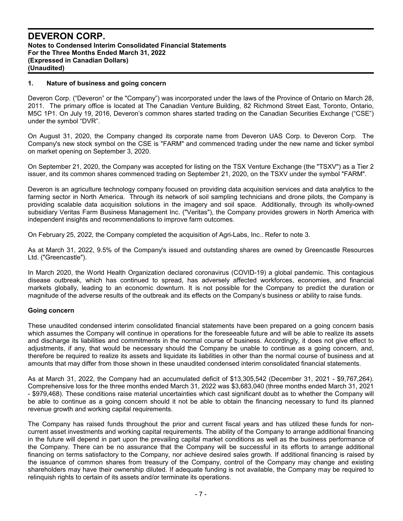#### **1. Nature of business and going concern**

Deveron Corp. ("Deveron" or the "Company") was incorporated under the laws of the Province of Ontario on March 28, 2011. The primary office is located at The Canadian Venture Building, 82 Richmond Street East, Toronto, Ontario, M5C 1P1. On July 19, 2016, Deveron's common shares started trading on the Canadian Securities Exchange ("CSE") under the symbol "DVR".

On August 31, 2020, the Company changed its corporate name from Deveron UAS Corp. to Deveron Corp. The Company's new stock symbol on the CSE is "FARM" and commenced trading under the new name and ticker symbol on market opening on September 3, 2020.

On September 21, 2020, the Company was accepted for listing on the TSX Venture Exchange (the "TSXV") as a Tier 2 issuer, and its common shares commenced trading on September 21, 2020, on the TSXV under the symbol "FARM".

Deveron is an agriculture technology company focused on providing data acquisition services and data analytics to the farming sector in North America. Through its network of soil sampling technicians and drone pilots, the Company is providing scalable data acquisition solutions in the imagery and soil space. Additionally, through its wholly-owned subsidiary Veritas Farm Business Management Inc. ("Veritas"), the Company provides growers in North America with independent insights and recommendations to improve farm outcomes.

On February 25, 2022, the Company completed the acquisition of Agri-Labs, Inc.. Refer to note 3.

As at March 31, 2022, 9.5% of the Company's issued and outstanding shares are owned by Greencastle Resources Ltd. ("Greencastle").

In March 2020, the World Health Organization declared coronavirus (COVID-19) a global pandemic. This contagious disease outbreak, which has continued to spread, has adversely affected workforces, economies, and financial markets globally, leading to an economic downturn. It is not possible for the Company to predict the duration or magnitude of the adverse results of the outbreak and its effects on the Company's business or ability to raise funds.

#### **Going concern**

These unaudited condensed interim consolidated financial statements have been prepared on a going concern basis which assumes the Company will continue in operations for the foreseeable future and will be able to realize its assets and discharge its liabilities and commitments in the normal course of business. Accordingly, it does not give effect to adjustments, if any, that would be necessary should the Company be unable to continue as a going concern, and, therefore be required to realize its assets and liquidate its liabilities in other than the normal course of business and at amounts that may differ from those shown in these unaudited condensed interim consolidated financial statements.

As at March 31, 2022, the Company had an accumulated deficit of \$13,305,542 (December 31, 2021 - \$9,767,264). Comprehensive loss for the three months ended March 31, 2022 was \$3,683,040 (three months ended March 31, 2021 - \$979,468). These conditions raise material uncertainties which cast significant doubt as to whether the Company will be able to continue as a going concern should it not be able to obtain the financing necessary to fund its planned revenue growth and working capital requirements.

The Company has raised funds throughout the prior and current fiscal years and has utilized these funds for noncurrent asset investments and working capital requirements. The ability of the Company to arrange additional financing in the future will depend in part upon the prevailing capital market conditions as well as the business performance of the Company. There can be no assurance that the Company will be successful in its efforts to arrange additional financing on terms satisfactory to the Company, nor achieve desired sales growth. If additional financing is raised by the issuance of common shares from treasury of the Company, control of the Company may change and existing shareholders may have their ownership diluted. If adequate funding is not available, the Company may be required to relinquish rights to certain of its assets and/or terminate its operations.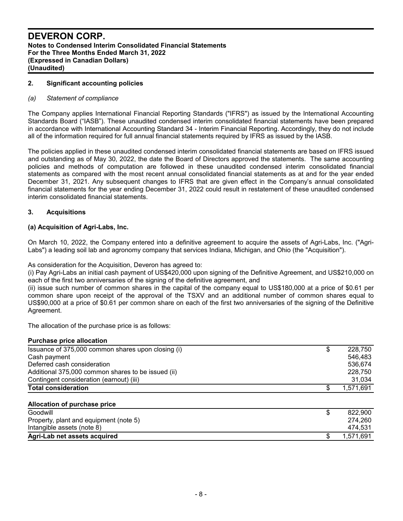#### **2. Significant accounting policies**

#### *(a) Statement of compliance*

The Company applies International Financial Reporting Standards ("IFRS") as issued by the International Accounting Standards Board ("IASB"). These unaudited condensed interim consolidated financial statements have been prepared in accordance with International Accounting Standard 34 - Interim Financial Reporting. Accordingly, they do not include all of the information required for full annual financial statements required by IFRS as issued by the IASB.

The policies applied in these unaudited condensed interim consolidated financial statements are based on IFRS issued and outstanding as of May 30, 2022, the date the Board of Directors approved the statements. The same accounting policies and methods of computation are followed in these unaudited condensed interim consolidated financial statements as compared with the most recent annual consolidated financial statements as at and for the year ended December 31, 2021. Any subsequent changes to IFRS that are given effect in the Company's annual consolidated financial statements for the year ending December 31, 2022 could result in restatement of these unaudited condensed interim consolidated financial statements.

#### **3. Acquisitions**

#### **(a) Acquisition of Agri-Labs, Inc.**

On March 10, 2022, the Company entered into a definitive agreement to acquire the assets of Agri-Labs, Inc. ("Agri-Labs") a leading soil lab and agronomy company that services Indiana, Michigan, and Ohio (the "Acquisition").

#### As consideration for the Acquisition, Deveron has agreed to:

(i) Pay Agri-Labs an initial cash payment of US\$420,000 upon signing of the Definitive Agreement, and US\$210,000 on each of the first two anniversaries of the signing of the definitive agreement, and

(ii) issue such number of common shares in the capital of the company equal to US\$180,000 at a price of \$0.61 per common share upon receipt of the approval of the TSXV and an additional number of common shares equal to US\$90,000 at a price of \$0.61 per common share on each of the first two anniversaries of the signing of the Definitive Agreement.

The allocation of the purchase price is as follows:

| <b>Purchase price allocation</b>                   |           |
|----------------------------------------------------|-----------|
| Issuance of 375,000 common shares upon closing (i) | 228,750   |
| Cash payment                                       | 546.483   |
| Deferred cash consideration                        | 536.674   |
| Additional 375,000 common shares to be issued (ii) | 228,750   |
| Contingent consideration (earnout) (iii)           | 31,034    |
| <b>Total consideration</b>                         | 1,571,691 |
|                                                    |           |

#### **Allocation of purchase price**

| Goodwill                               | 822,900   |
|----------------------------------------|-----------|
| Property, plant and equipment (note 5) | 274.260   |
| Intangible assets (note 8)             | 474.531   |
| Agri-Lab net assets acquired           | 1.571.691 |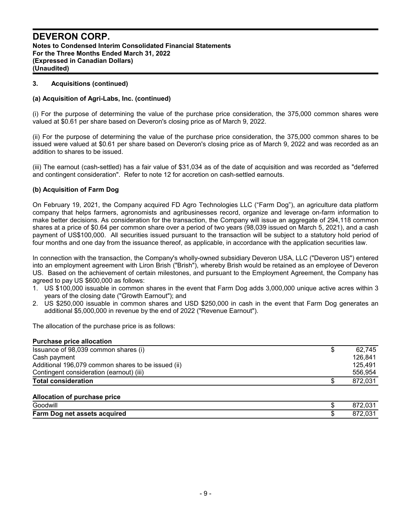#### **3. Acquisitions (continued)**

#### **(a) Acquisition of Agri-Labs, Inc. (continued)**

(i) For the purpose of determining the value of the purchase price consideration, the 375,000 common shares were valued at \$0.61 per share based on Deveron's closing price as of March 9, 2022.

(ii) For the purpose of determining the value of the purchase price consideration, the 375,000 common shares to be issued were valued at \$0.61 per share based on Deveron's closing price as of March 9, 2022 and was recorded as an addition to shares to be issued.

(iii) The earnout (cash-settled) has a fair value of \$31,034 as of the date of acquisition and was recorded as "deferred and contingent consideration". Refer to note 12 for accretion on cash-settled earnouts.

#### **(b) Acquisition of Farm Dog**

On February 19, 2021, the Company acquired FD Agro Technologies LLC ("Farm Dog"), an agriculture data platform company that helps farmers, agronomists and agribusinesses record, organize and leverage on-farm information to make better decisions. As consideration for the transaction, the Company will issue an aggregate of 294,118 common shares at a price of \$0.64 per common share over a period of two years (98,039 issued on March 5, 2021), and a cash payment of US\$100,000. All securities issued pursuant to the transaction will be subject to a statutory hold period of four months and one day from the issuance thereof, as applicable, in accordance with the application securities law.

In connection with the transaction, the Company's wholly-owned subsidiary Deveron USA, LLC ("Deveron US") entered into an employment agreement with Liron Brish ("Brish"), whereby Brish would be retained as an employee of Deveron US. Based on the achievement of certain milestones, and pursuant to the Employment Agreement, the Company has agreed to pay US \$600,000 as follows:

- 1. US \$100,000 issuable in common shares in the event that Farm Dog adds 3,000,000 unique active acres within 3 years of the closing date ("Growth Earnout"); and
- 2. US \$250,000 issuable in common shares and USD \$250,000 in cash in the event that Farm Dog generates an additional \$5,000,000 in revenue by the end of 2022 ("Revenue Earnout").

The allocation of the purchase price is as follows:

| <b>Purchase price allocation</b>                   |         |
|----------------------------------------------------|---------|
| Issuance of 98,039 common shares (i)               | 62,745  |
| Cash payment                                       | 126.841 |
| Additional 196,079 common shares to be issued (ii) | 125.491 |
| Contingent consideration (earnout) (iii)           | 556.954 |
| <b>Total consideration</b>                         | 872,031 |
|                                                    |         |

## **Allocation of purchase price**

| <br>⌒<br>Goodwill                       | w | <b>070</b><br>o۱<br>.∪പ |
|-----------------------------------------|---|-------------------------|
| <b>Farm Dog</b><br>net assets acquired! | w | 07 Z<br>L.UJ            |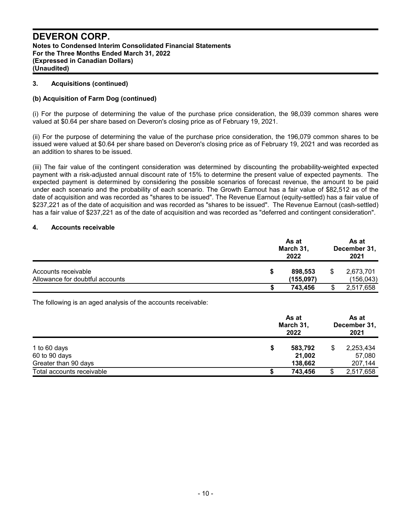#### **3. Acquisitions (continued)**

#### **(b) Acquisition of Farm Dog (continued)**

(i) For the purpose of determining the value of the purchase price consideration, the 98,039 common shares were valued at \$0.64 per share based on Deveron's closing price as of February 19, 2021.

(ii) For the purpose of determining the value of the purchase price consideration, the 196,079 common shares to be issued were valued at \$0.64 per share based on Deveron's closing price as of February 19, 2021 and was recorded as an addition to shares to be issued.

(iii) The fair value of the contingent consideration was determined by discounting the probability-weighted expected payment with a risk-adjusted annual discount rate of 15% to determine the present value of expected payments. The expected payment is determined by considering the possible scenarios of forecast revenue, the amount to be paid under each scenario and the probability of each scenario. The Growth Earnout has a fair value of \$82,512 as of the date of acquisition and was recorded as "shares to be issued". The Revenue Earnout (equity-settled) has a fair value of \$237,221 as of the date of acquisition and was recorded as "shares to be issued". The Revenue Earnout (cash-settled) has a fair value of \$237,221 as of the date of acquisition and was recorded as "deferred and contingent consideration".

#### **4. Accounts receivable**

| Accounts receivable             | March 31, | As at<br>December 31,<br>2021 |    |            |
|---------------------------------|-----------|-------------------------------|----|------------|
|                                 |           | 898,553                       | \$ | 2,673,701  |
| Allowance for doubtful accounts |           | (155,097)                     |    | (156, 043) |
|                                 |           | 743.456                       | S  | 2,517,658  |

The following is an aged analysis of the accounts receivable:

| 1 to 60 days<br>60 to 90 days<br>Greater than 90 days |   | As at<br>March 31,<br>2022   |  |                                |
|-------------------------------------------------------|---|------------------------------|--|--------------------------------|
|                                                       | S | 583,792<br>21,002<br>138,662 |  | 2,253,434<br>57,080<br>207,144 |
| Total accounts receivable                             |   | 743,456                      |  | 2,517,658                      |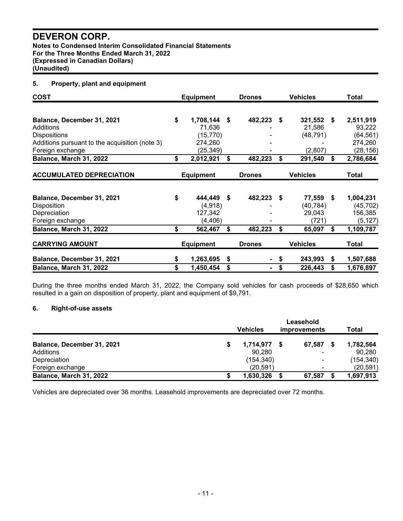**Notes to Condensed Interim Consolidated Financial Statements For the Three Months Ended March 31, 2022 (Expressed in Canadian Dollars) (Unaudited)**

# **5. Property, plant and equipment**

| <b>COST</b>                                                                          |    | <b>Equipment</b>                          |    | <b>Drones</b>  |      | <b>Vehicles</b>                        | Total |                                               |
|--------------------------------------------------------------------------------------|----|-------------------------------------------|----|----------------|------|----------------------------------------|-------|-----------------------------------------------|
| Balance, December 31, 2021<br>Additions<br><b>Dispositions</b>                       | \$ | 1,708,144<br>71,636<br>(15, 770)          | \$ | 482,223        | -\$  | 321,552<br>21,586<br>(48, 791)         | S.    | 2,511,919<br>93,222<br>(64, 561)              |
| Additions pursuant to the acquisition (note 3)<br>Foreign exchange                   |    | 274,260<br>(25, 349)                      |    |                |      | (2,807)                                |       | 274,260<br>(28,156)                           |
| Balance, March 31, 2022                                                              | \$ | 2,012,921                                 | \$ | 482,223        | \$   | 291,540                                | \$    | 2,786,684                                     |
| <b>ACCUMULATED DEPRECIATION</b>                                                      |    | <b>Equipment</b>                          |    | <b>Drones</b>  |      | <b>Vehicles</b>                        |       | Total                                         |
| Balance, December 31, 2021<br><b>Disposition</b><br>Depreciation<br>Foreign exchange | \$ | 444,449<br>(4,918)<br>127,342<br>(4, 406) | \$ | 482,223        | - \$ | 77,559<br>(40, 784)<br>29,043<br>(721) | - \$  | 1,004,231<br>(45, 702)<br>156,385<br>(5, 127) |
| Balance, March 31, 2022                                                              | \$ | 562,467                                   | \$ | 482,223        | \$   | 65,097                                 | \$    | 1,109,787                                     |
| <b>CARRYING AMOUNT</b>                                                               |    | <b>Equipment</b>                          |    | <b>Drones</b>  |      | <b>Vehicles</b>                        |       | Total                                         |
| Balance, December 31, 2021                                                           | S  | 1,263,695                                 | \$ | ۰.             | \$   | 243,993                                | S.    | 1,507,688                                     |
| Balance, March 31, 2022                                                              |    | 1,450,454                                 | \$ | $\blacksquare$ | \$   | 226,443                                | S     | 1,676,897                                     |

During the three months ended March 31, 2022, the Company sold vehicles for cash proceeds of \$28,650 which resulted in a gain on disposition of property, plant and equipment of \$9,791.

#### **6. Right-of-use assets**

|                                | Leasehold |                |  |                          |  |           |
|--------------------------------|-----------|----------------|--|--------------------------|--|-----------|
|                                |           | Vehicles       |  | <i>improvements</i>      |  | Total     |
| Balance, December 31, 2021     |           | $1,714,977$ \$ |  | 67.587                   |  | 1,782,564 |
| Additions                      |           | 90.280         |  | $\overline{\phantom{0}}$ |  | 90.280    |
| Depreciation                   |           | (154, 340)     |  | $\overline{\phantom{0}}$ |  | (154,340) |
| Foreign exchange               |           | (20.591)       |  | $\overline{\phantom{a}}$ |  | (20, 591) |
| <b>Balance, March 31, 2022</b> |           | 1,630,326      |  | 67.587                   |  | 1,697,913 |

Vehicles are depreciated over 36 months. Leasehold improvements are depreciated over 72 months.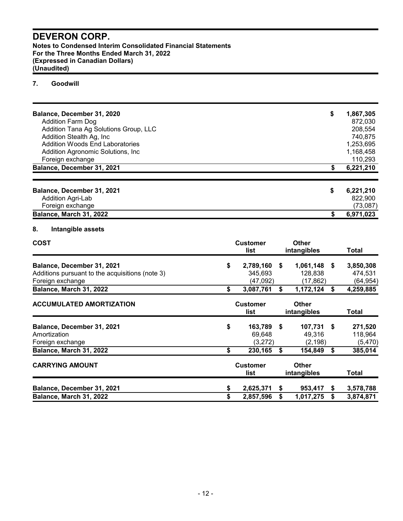**Notes to Condensed Interim Consolidated Financial Statements For the Three Months Ended March 31, 2022 (Expressed in Canadian Dollars) (Unaudited)**

# **7. Goodwill**

| Balance, December 31, 2020             | \$<br>1,867,305 |
|----------------------------------------|-----------------|
| <b>Addition Farm Dog</b>               | 872,030         |
| Addition Tana Ag Solutions Group, LLC  | 208.554         |
| Addition Stealth Ag, Inc.              | 740,875         |
| <b>Addition Woods End Laboratories</b> | 1,253,695       |
| Addition Agronomic Solutions, Inc.     | 1,168,458       |
| Foreign exchange                       | 110,293         |
| Balance, December 31, 2021             | 6,221,210       |
|                                        |                 |
| Balance, December 31, 2021             | \$<br>6,221,210 |
| Addition Agri-Lab                      | 822,900         |
| Foreign exchange                       | (73,087)        |
| Balance, March 31, 2022                | 6,971,023       |

# **8. Intangible assets**

| <b>COST</b>                                                                   | <b>Customer</b><br>list            |    | <b>Other</b><br>intangibles   |      | Total                         |
|-------------------------------------------------------------------------------|------------------------------------|----|-------------------------------|------|-------------------------------|
| Balance, December 31, 2021<br>Additions pursuant to the acquisitions (note 3) | \$<br>2,789,160<br>345,693         | \$ | 1,061,148<br>128,838          | S.   | 3,850,308<br>474,531          |
| Foreign exchange<br>Balance, March 31, 2022                                   | \$<br>(47,092)<br>3,087,761        | \$ | (17,862)<br>1,172,124         | \$   | (64, 954)<br>4,259,885        |
| <b>ACCUMULATED AMORTIZATION</b>                                               | <b>Customer</b><br>list            |    | <b>Other</b><br>intangibles   |      | Total                         |
| Balance, December 31, 2021<br>Amortization<br>Foreign exchange                | \$<br>163,789<br>69.648<br>(3,272) | -S | 107,731<br>49,316<br>(2, 198) | - \$ | 271,520<br>118,964<br>(5,470) |
| Balance, March 31, 2022                                                       | \$<br>230,165                      | \$ | 154,849                       | Ŝ.   | 385,014                       |
| <b>CARRYING AMOUNT</b>                                                        | <b>Customer</b><br>list            |    | Other<br>intangibles          |      | Total                         |
| Balance, December 31, 2021                                                    | \$<br>2,625,371                    | S. | 953,417                       | \$   | 3,578,788                     |
| <b>Balance, March 31, 2022</b>                                                | \$<br>2,857,596                    | \$ | 1,017,275                     | \$   | 3,874,871                     |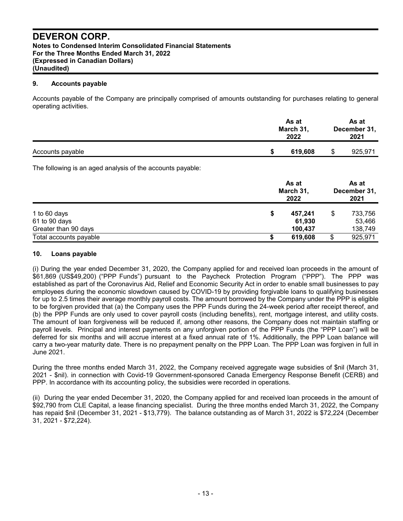#### **9. Accounts payable**

Accounts payable of the Company are principally comprised of amounts outstanding for purchases relating to general operating activities.

|                  | As at<br>March 31,<br>2022 |   | As at<br>December 31,<br>2021 |  |
|------------------|----------------------------|---|-------------------------------|--|
| Accounts payable | 619,608                    | S | 925,971                       |  |

The following is an aged analysis of the accounts payable:

|                               |   | As at<br>March 31,<br>2022 |   | As at<br>December 31,<br>2021 |  |
|-------------------------------|---|----------------------------|---|-------------------------------|--|
| 1 to 60 days<br>61 to 90 days | S | 457,241<br>61,930          |   | 733,756<br>53,466             |  |
| Greater than 90 days          |   | 100,437                    |   | 138,749                       |  |
| Total accounts payable        |   | 619,608                    | S | 925,971                       |  |

#### **10. Loans payable**

(i) During the year ended December 31, 2020, the Company applied for and received loan proceeds in the amount of \$61,869 (US\$49,200) ("PPP Funds") pursuant to the Paycheck Protection Program ("PPP"). The PPP was established as part of the Coronavirus Aid, Relief and Economic Security Act in order to enable small businesses to pay employees during the economic slowdown caused by COVID-19 by providing forgivable loans to qualifying businesses for up to 2.5 times their average monthly payroll costs. The amount borrowed by the Company under the PPP is eligible to be forgiven provided that (a) the Company uses the PPP Funds during the 24-week period after receipt thereof, and (b) the PPP Funds are only used to cover payroll costs (including benefits), rent, mortgage interest, and utility costs. The amount of loan forgiveness will be reduced if, among other reasons, the Company does not maintain staffing or payroll levels. Principal and interest payments on any unforgiven portion of the PPP Funds (the "PPP Loan") will be deferred for six months and will accrue interest at a fixed annual rate of 1%. Additionally, the PPP Loan balance will carry a two-year maturity date. There is no prepayment penalty on the PPP Loan. The PPP Loan was forgiven in full in June 2021.

During the three months ended March 31, 2022, the Company received aggregate wage subsidies of \$nil (March 31, 2021 - \$nil). in connection with Covid-19 Government-sponsored Canada Emergency Response Benefit (CERB) and PPP. In accordance with its accounting policy, the subsidies were recorded in operations.

(ii) During the year ended December 31, 2020, the Company applied for and received loan proceeds in the amount of \$92,790 from CLE Capital, a lease financing specialist. During the three months ended March 31, 2022, the Company has repaid \$nil (December 31, 2021 - \$13,779). The balance outstanding as of March 31, 2022 is \$72,224 (December 31, 2021 - \$72,224).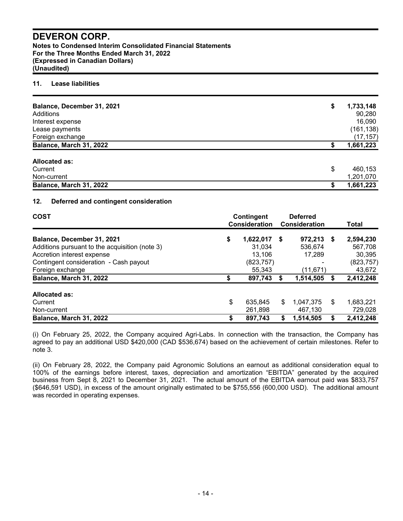**Notes to Condensed Interim Consolidated Financial Statements For the Three Months Ended March 31, 2022 (Expressed in Canadian Dollars) (Unaudited)**

#### **11. Lease liabilities**

| Balance, December 31, 2021 | \$<br>1,733,148 |
|----------------------------|-----------------|
| Additions                  | 90,280          |
| Interest expense           | 16,090          |
| Lease payments             | (161, 138)      |
| Foreign exchange           | (17, 157)       |
| Balance, March 31, 2022    | 1,661,223       |
| Allocated as:              |                 |
| Current                    | \$<br>460,153   |
| Non-current                | 1,201,070       |
| Balance, March 31, 2022    | 1,661,223       |

## **12. Deferred and contingent consideration**

| <b>COST</b>                                    |    | Contingent<br><b>Consideration</b> |    | <b>Deferred</b><br>Consideration |    | Total      |  |
|------------------------------------------------|----|------------------------------------|----|----------------------------------|----|------------|--|
| Balance, December 31, 2021                     | \$ | 1,622,017                          | S  | 972.213                          | -S | 2,594,230  |  |
| Additions pursuant to the acquisition (note 3) |    | 31.034                             |    | 536.674                          |    | 567,708    |  |
| Accretion interest expense                     |    | 13.106                             |    | 17.289                           |    | 30,395     |  |
| Contingent consideration - Cash payout         |    | (823, 757)                         |    | -                                |    | (823, 757) |  |
| Foreign exchange                               |    | 55,343                             |    | (11,671)                         |    | 43,672     |  |
| Balance, March 31, 2022                        | \$ | 897,743                            | S  | 1,514,505                        |    | 2,412,248  |  |
| <b>Allocated as:</b>                           |    |                                    |    |                                  |    |            |  |
| Current                                        | \$ | 635,845                            | \$ | 1,047,375                        | \$ | 1,683,221  |  |
| Non-current                                    |    | 261,898                            |    | 467,130                          |    | 729,028    |  |
| Balance, March 31, 2022                        | \$ | 897,743                            | \$ | 1.514.505                        |    | 2,412,248  |  |

(i) On February 25, 2022, the Company acquired Agri-Labs. In connection with the transaction, the Company has agreed to pay an additional USD \$420,000 (CAD \$536,674) based on the achievement of certain milestones. Refer to note 3.

(ii) On February 28, 2022, the Company paid Agronomic Solutions an earnout as additional consideration equal to 100% of the earnings before interest, taxes, depreciation and amortization "EBITDA" generated by the acquired business from Sept 8, 2021 to December 31, 2021. The actual amount of the EBITDA earnout paid was \$833,757 (\$646,591 USD), in excess of the amount originally estimated to be \$755,556 (600,000 USD). The additional amount was recorded in operating expenses.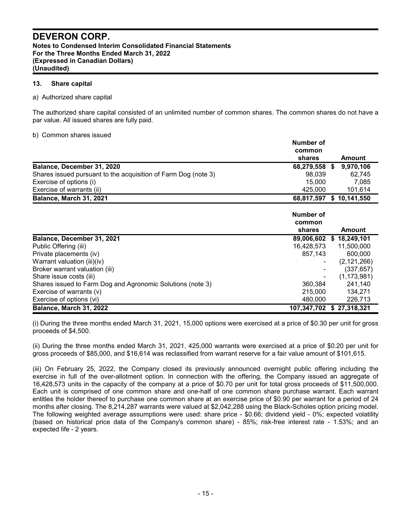**Notes to Condensed Interim Consolidated Financial Statements For the Three Months Ended March 31, 2022 (Expressed in Canadian Dollars) (Unaudited)**

#### **13. Share capital**

#### a) Authorized share capital

The authorized share capital consisted of an unlimited number of common shares. The common shares do not have a par value. All issued shares are fully paid.

#### b) Common shares issued

|                                                                | Number of<br>common      |  |           |
|----------------------------------------------------------------|--------------------------|--|-----------|
|                                                                | shares                   |  | Amount    |
| Balance, December 31, 2020                                     | 68,279,558 \$            |  | 9,970,106 |
| Shares issued pursuant to the acquisition of Farm Dog (note 3) | 98.039                   |  | 62.745    |
| Exercise of options (i)                                        | 15.000                   |  | 7,085     |
| Exercise of warrants (ii)                                      | 425.000                  |  | 101.614   |
| Balance, March 31, 2021                                        | 68,817,597 \$ 10,141,550 |  |           |

|                                                            | Number of<br>common |                           |
|------------------------------------------------------------|---------------------|---------------------------|
|                                                            | shares              | Amount                    |
| Balance, December 31, 2021                                 | 89,006,602          | \$18,249,101              |
| Public Offering (iii)                                      | 16,428,573          | 11,500,000                |
| Private placements (iv)                                    | 857,143             | 600,000                   |
| Warrant valuation (iii)(iv)                                |                     | (2, 121, 266)             |
| Broker warrant valuation (iii)                             |                     | (337, 657)                |
| Share issue costs (iii)                                    |                     | (1, 173, 981)             |
| Shares issued to Farm Dog and Agronomic Solutions (note 3) | 360.384             | 241,140                   |
| Exercise of warrants $(v)$                                 | 215,000             | 134,271                   |
| Exercise of options (vi)                                   | 480.000             | 226,713                   |
| Balance, March 31, 2022                                    |                     | 107,347,702 \$ 27,318,321 |

(i) During the three months ended March 31, 2021, 15,000 options were exercised at a price of \$0.30 per unit for gross proceeds of \$4,500.

(ii) During the three months ended March 31, 2021, 425,000 warrants were exercised at a price of \$0.20 per unit for gross proceeds of \$85,000, and \$16,614 was reclassified from warrant reserve for a fair value amount of \$101,615.

(iii) On February 25, 2022, the Company closed its previously announced overnight public offering including the exercise in full of the over-allotment option. In connection with the offering, the Company issued an aggregate of 16,428,573 units in the capacity of the company at a price of \$0.70 per unit for total gross proceeds of \$11,500,000. Each unit is comprised of one common share and one-half of one common share purchase warrant. Each warrant entitles the holder thereof to purchase one common share at an exercise price of \$0.90 per warrant for a period of 24 months after closing. The 8,214,287 warrants were valued at \$2,042,288 using the Black-Scholes option pricing model. The following weighted average assumptions were used: share price - \$0.66; dividend yield - 0%; expected volatility (based on historical price data of the Company's common share) - 85%; risk-free interest rate - 1.53%; and an expected life - 2 years.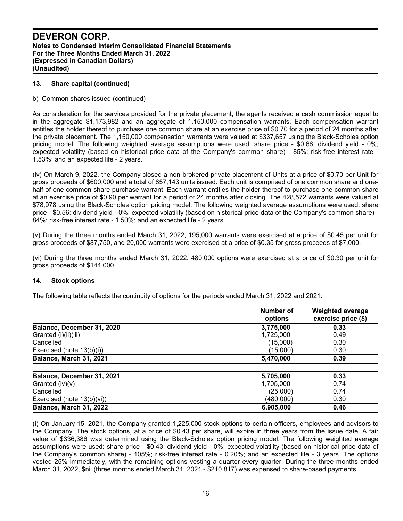#### **13. Share capital (continued)**

#### b) Common shares issued (continued)

As consideration for the services provided for the private placement, the agents received a cash commission equal to in the aggregate \$1,173,982 and an aggregate of 1,150,000 compensation warrants. Each compensation warrant entitles the holder thereof to purchase one common share at an exercise price of \$0.70 for a period of 24 months after the private placement. The 1,150,000 compensation warrants were valued at \$337,657 using the Black-Scholes option pricing model. The following weighted average assumptions were used: share price - \$0.66; dividend yield - 0%; expected volatility (based on historical price data of the Company's common share) - 85%; risk-free interest rate - 1.53%; and an expected life - 2 years.

(iv) On March 9, 2022, the Company closed a non-brokered private placement of Units at a price of \$0.70 per Unit for gross proceeds of \$600,000 and a total of 857,143 units issued. Each unit is comprised of one common share and onehalf of one common share purchase warrant. Each warrant entitles the holder thereof to purchase one common share at an exercise price of \$0.90 per warrant for a period of 24 months after closing. The 428,572 warrants were valued at \$78,978 using the Black-Scholes option pricing model. The following weighted average assumptions were used: share price - \$0.56; dividend yield - 0%; expected volatility (based on historical price data of the Company's common share) - 84%; risk-free interest rate - 1.50%; and an expected life - 2 years.

(v) During the three months ended March 31, 2022, 195,000 warrants were exercised at a price of \$0.45 per unit for gross proceeds of \$87,750, and 20,000 warrants were exercised at a price of \$0.35 for gross proceeds of \$7,000.

(vi) During the three months ended March 31, 2022, 480,000 options were exercised at a price of \$0.30 per unit for gross proceeds of \$144,000.

#### **14. Stock options**

The following table reflects the continuity of options for the periods ended March 31, 2022 and 2021:

|                               | Number of<br>options | <b>Weighted average</b><br>exercise price (\$) |
|-------------------------------|----------------------|------------------------------------------------|
| Balance, December 31, 2020    | 3,775,000            | 0.33                                           |
| Granted (i)(ii)(iii)          | 1,725,000            | 0.49                                           |
| Cancelled                     | (15,000)             | 0.30                                           |
| Exercised (note $13(b)(i)$ )  | (15,000)             | 0.30                                           |
| Balance, March 31, 2021       | 5,470,000            | 0.39                                           |
| Balance, December 31, 2021    | 5,705,000            | 0.33                                           |
| Granted $(iv)(v)$             | 1,705,000            | 0.74                                           |
| Cancelled                     | (25,000)             | 0.74                                           |
| Exercised (note $13(b)(vi)$ ) | (480,000)            | 0.30                                           |
| Balance, March 31, 2022       | 6,905,000            | 0.46                                           |

(i) On January 15, 2021, the Company granted 1,225,000 stock options to certain officers, employees and advisors to the Company. The stock options, at a price of \$0.43 per share, will expire in three years from the issue date. A fair value of \$336,386 was determined using the Black-Scholes option pricing model. The following weighted average assumptions were used: share price - \$0.43; dividend yield - 0%; expected volatility (based on historical price data of the Company's common share) - 105%; risk-free interest rate - 0.20%; and an expected life - 3 years. The options vested 25% immediately, with the remaining options vesting a quarter every quarter. During the three months ended March 31, 2022, \$nil (three months ended March 31, 2021 - \$210,817) was expensed to share-based payments.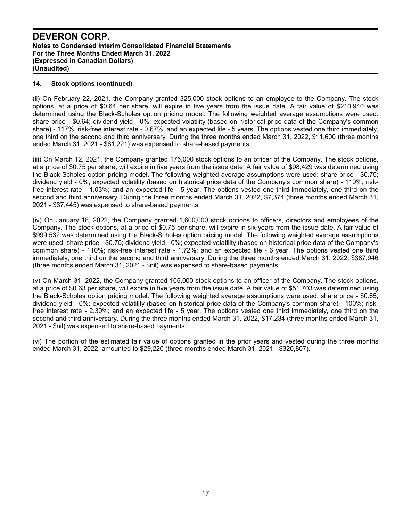#### **14. Stock options (continued)**

(ii) On February 22, 2021, the Company granted 325,000 stock options to an employee to the Company. The stock options, at a price of \$0.64 per share, will expire in five years from the issue date. A fair value of \$210,940 was determined using the Black-Scholes option pricing model. The following weighted average assumptions were used: share price - \$0.64; dividend yield - 0%; expected volatility (based on historical price data of the Company's common share) - 117%; risk-free interest rate - 0.67%; and an expected life - 5 years. The options vested one third immediately, one third on the second and third anniversary. During the three months ended March 31, 2022, \$11,600 (three months ended March 31, 2021 - \$61,221) was expensed to share-based payments.

(iii) On March 12, 2021, the Company granted 175,000 stock options to an officer of the Company. The stock options, at a price of \$0.75 per share, will expire in five years from the issue date. A fair value of \$98,429 was determined using the Black-Scholes option pricing model. The following weighted average assumptions were used: share price - \$0.75; dividend yield - 0%; expected volatility (based on historical price data of the Company's common share) - 119%; riskfree interest rate - 1.03%; and an expected life - 5 year. The options vested one third immediately, one third on the second and third anniversary. During the three months ended March 31, 2022, \$7,374 (three months ended March 31, 2021 - \$37,445) was expensed to share-based payments.

(iv) On January 18, 2022, the Company granted 1,600,000 stock options to officers, directors and employees of the Company. The stock options, at a price of \$0.75 per share, will expire in six years from the issue date. A fair value of \$999,532 was determined using the Black-Scholes option pricing model. The following weighted average assumptions were used: share price - \$0.75; dividend yield - 0%; expected volatility (based on historical price data of the Company's common share) - 110%; risk-free interest rate - 1.72%; and an expected life - 6 year. The options vested one third immediately, one third on the second and third anniversary. During the three months ended March 31, 2022, \$387,946 (three months ended March 31, 2021 - \$nil) was expensed to share-based payments.

(v) On March 31, 2022, the Company granted 105,000 stock options to an officer of the Company. The stock options, at a price of \$0.63 per share, will expire in five years from the issue date. A fair value of \$51,703 was determined using the Black-Scholes option pricing model. The following weighted average assumptions were used: share price - \$0.65; dividend yield - 0%; expected volatility (based on historical price data of the Company's common share) - 100%; riskfree interest rate - 2.39%; and an expected life - 5 year. The options vested one third immediately, one third on the second and third anniversary. During the three months ended March 31, 2022, \$17,234 (three months ended March 31, 2021 - \$nil) was expensed to share-based payments.

(vi) The portion of the estimated fair value of options granted in the prior years and vested during the three months ended March 31, 2022, amounted to \$29,220 (three months ended March 31, 2021 - \$320,807).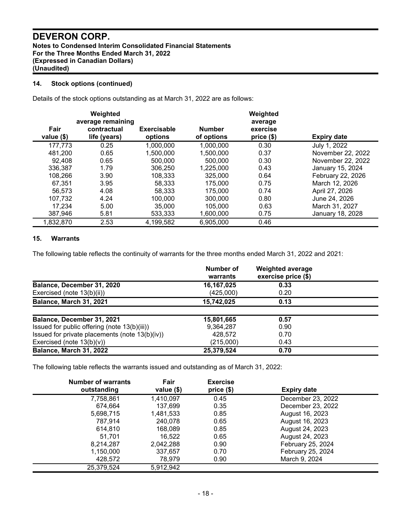## **14. Stock options (continued)**

Details of the stock options outstanding as at March 31, 2022 are as follows:

|                     | Weighted                                         |                               |                             | Weighted                         |                    |
|---------------------|--------------------------------------------------|-------------------------------|-----------------------------|----------------------------------|--------------------|
| Fair<br>value $($)$ | average remaining<br>contractual<br>life (years) | <b>Exercisable</b><br>options | <b>Number</b><br>of options | average<br>exercise<br>price(\$) | <b>Expiry date</b> |
| 177,773             | 0.25                                             | 1,000,000                     | 1,000,000                   | 0.30                             | July 1, 2022       |
| 481,200             | 0.65                                             | 1,500,000                     | 1,500,000                   | 0.37                             | November 22, 2022  |
| 92,408              | 0.65                                             | 500,000                       | 500,000                     | 0.30                             | November 22, 2022  |
| 336,387             | 1.79                                             | 306.250                       | 1,225,000                   | 0.43                             | January 15, 2024   |
| 108,266             | 3.90                                             | 108,333                       | 325,000                     | 0.64                             | February 22, 2026  |
| 67.351              | 3.95                                             | 58.333                        | 175,000                     | 0.75                             | March 12, 2026     |
| 56.573              | 4.08                                             | 58.333                        | 175,000                     | 0.74                             | April 27, 2026     |
| 107.732             | 4.24                                             | 100.000                       | 300,000                     | 0.80                             | June 24, 2026      |
| 17,234              | 5.00                                             | 35,000                        | 105,000                     | 0.63                             | March 31, 2027     |
| 387,946             | 5.81                                             | 533,333                       | 1,600,000                   | 0.75                             | January 18, 2028   |
| 1,832,870           | 2.53                                             | 4,199,582                     | 6,905,000                   | 0.46                             |                    |

## **15. Warrants**

The following table reflects the continuity of warrants for the three months ended March 31, 2022 and 2021:

|                                                | Number of<br>warrants | <b>Weighted average</b><br>exercise price (\$) |  |
|------------------------------------------------|-----------------------|------------------------------------------------|--|
| Balance, December 31, 2020                     | 16,167,025            | 0.33                                           |  |
| Exercised (note 13(b)(ii))                     | (425,000)             | 0.20                                           |  |
| Balance, March 31, 2021                        | 15,742,025            | 0.13                                           |  |
|                                                |                       |                                                |  |
| Balance, December 31, 2021                     | 15,801,665            | 0.57                                           |  |
| Issued for public offering (note 13(b)(iii))   | 9,364,287             | 0.90                                           |  |
| Issued for private placements (note 13(b)(iv)) | 428.572               | 0.70                                           |  |
| Exercised (note $13(b)(v)$ )                   | (215,000)             | 0.43                                           |  |
| Balance, March 31, 2022                        | 25,379,524            | 0.70                                           |  |

The following table reflects the warrants issued and outstanding as of March 31, 2022:

| <b>Number of warrants</b><br>outstanding | Fair<br>value $($)$ | <b>Exercise</b><br>price (\$) | <b>Expiry date</b> |
|------------------------------------------|---------------------|-------------------------------|--------------------|
| 7,758,861                                | 1,410,097           | 0.45                          | December 23, 2022  |
| 674,664                                  | 137,699             | 0.35                          | December 23, 2022  |
| 5,698,715                                | 1,481,533           | 0.85                          | August 16, 2023    |
| 787,914                                  | 240,078             | 0.65                          | August 16, 2023    |
| 614,810                                  | 168,089             | 0.85                          | August 24, 2023    |
| 51,701                                   | 16.522              | 0.65                          | August 24, 2023    |
| 8,214,287                                | 2,042,288           | 0.90                          | February 25, 2024  |
| 1,150,000                                | 337,657             | 0.70                          | February 25, 2024  |
| 428,572                                  | 78,979              | 0.90                          | March 9, 2024      |
| 25,379,524                               | 5,912,942           |                               |                    |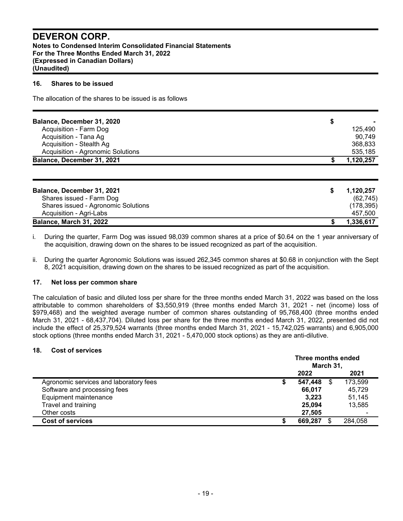#### **16. Shares to be issued**

The allocation of the shares to be issued is as follows

| Balance, December 31, 2020        |           |
|-----------------------------------|-----------|
| Acquisition - Farm Dog            | 125.490   |
| Acquisition - Tana Ag             | 90,749    |
| Acquisition - Stealth Ag          | 368,833   |
| Acquisition - Agronomic Solutions | 535,185   |
| Balance, December 31, 2021        | 1,120,257 |

| Balance, December 31, 2021          | 1.120.257  |
|-------------------------------------|------------|
| Shares issued - Farm Dog            | (62, 745)  |
| Shares issued - Agronomic Solutions | (178, 395) |
| Acquisition - Agri-Labs             | 457.500    |
| Balance, March 31, 2022             | 1.336.617  |

- i. During the quarter, Farm Dog was issued 98,039 common shares at a price of \$0.64 on the 1 year anniversary of the acquisition, drawing down on the shares to be issued recognized as part of the acquisition.
- ii. During the quarter Agronomic Solutions was issued 262,345 common shares at \$0.68 in conjunction with the Sept 8, 2021 acquisition, drawing down on the shares to be issued recognized as part of the acquisition.

#### **17. Net loss per common share**

The calculation of basic and diluted loss per share for the three months ended March 31, 2022 was based on the loss attributable to common shareholders of \$3,550,919 (three months ended March 31, 2021 - net (income) loss of \$979,468) and the weighted average number of common shares outstanding of 95,768,400 (three months ended March 31, 2021 - 68,437,704). Diluted loss per share for the three months ended March 31, 2022, presented did not include the effect of 25,379,524 warrants (three months ended March 31, 2021 - 15,742,025 warrants) and 6,905,000 stock options (three months ended March 31, 2021 - 5,470,000 stock options) as they are anti-dilutive.

#### **18. Cost of services**

|                                        | Three months ended<br>March 31, |         |   |         |
|----------------------------------------|---------------------------------|---------|---|---------|
|                                        |                                 | 2022    |   | 2021    |
| Agronomic services and laboratory fees |                                 | 547.448 | S | 173,599 |
| Software and processing fees           |                                 | 66,017  |   | 45,729  |
| Equipment maintenance                  |                                 | 3.223   |   | 51.145  |
| Travel and training                    |                                 | 25.094  |   | 13,585  |
| Other costs                            |                                 | 27,505  |   |         |
| <b>Cost of services</b>                |                                 | 669,287 |   | 284,058 |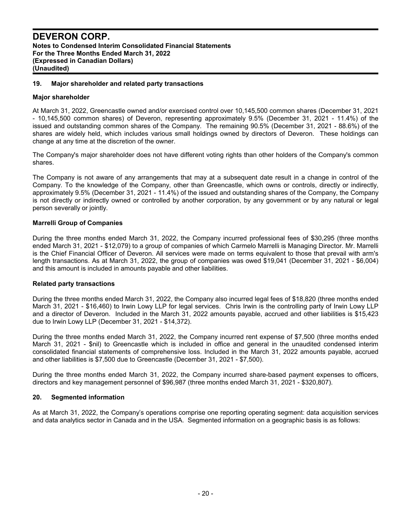#### **19. Major shareholder and related party transactions**

#### **Major shareholder**

At March 31, 2022, Greencastle owned and/or exercised control over 10,145,500 common shares (December 31, 2021 - 10,145,500 common shares) of Deveron, representing approximately 9.5% (December 31, 2021 - 11.4%) of the issued and outstanding common shares of the Company. The remaining 90.5% (December 31, 2021 - 88.6%) of the shares are widely held, which includes various small holdings owned by directors of Deveron. These holdings can change at any time at the discretion of the owner.

The Company's major shareholder does not have different voting rights than other holders of the Company's common shares.

The Company is not aware of any arrangements that may at a subsequent date result in a change in control of the Company. To the knowledge of the Company, other than Greencastle, which owns or controls, directly or indirectly, approximately 9.5% (December 31, 2021 - 11.4%) of the issued and outstanding shares of the Company, the Company is not directly or indirectly owned or controlled by another corporation, by any government or by any natural or legal person severally or jointly.

#### **Marrelli Group of Companies**

During the three months ended March 31, 2022, the Company incurred professional fees of \$30,295 (three months ended March 31, 2021 - \$12,079) to a group of companies of which Carmelo Marrelli is Managing Director. Mr. Marrelli is the Chief Financial Officer of Deveron. All services were made on terms equivalent to those that prevail with arm's length transactions. As at March 31, 2022, the group of companies was owed \$19,041 (December 31, 2021 - \$6,004) and this amount is included in amounts payable and other liabilities.

#### **Related party transactions**

During the three months ended March 31, 2022, the Company also incurred legal fees of \$18,820 (three months ended March 31, 2021 - \$16,460) to Irwin Lowy LLP for legal services. Chris Irwin is the controlling party of Irwin Lowy LLP and a director of Deveron. Included in the March 31, 2022 amounts payable, accrued and other liabilities is \$15,423 due to Irwin Lowy LLP (December 31, 2021 - \$14,372).

During the three months ended March 31, 2022, the Company incurred rent expense of \$7,500 (three months ended March 31, 2021 - \$nil) to Greencastle which is included in office and general in the unaudited condensed interim consolidated financial statements of comprehensive loss. Included in the March 31, 2022 amounts payable, accrued and other liabilities is \$7,500 due to Greencastle (December 31, 2021 - \$7,500).

During the three months ended March 31, 2022, the Company incurred share-based payment expenses to officers, directors and key management personnel of \$96,987 (three months ended March 31, 2021 - \$320,807).

#### **20. Segmented information**

As at March 31, 2022, the Company's operations comprise one reporting operating segment: data acquisition services and data analytics sector in Canada and in the USA. Segmented information on a geographic basis is as follows: